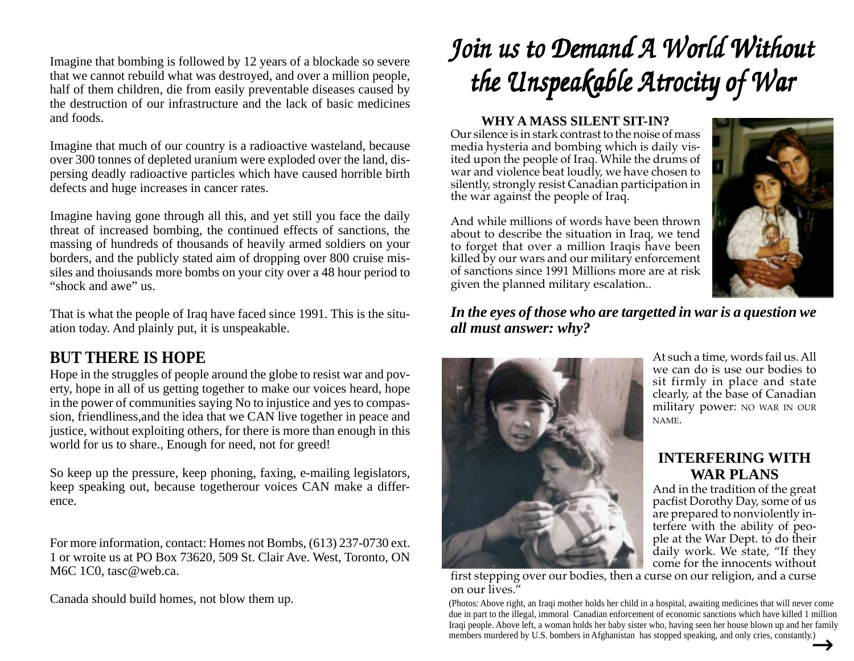Imagine that bombing is followed by 12 years of a blockade so severe that we cannot rebuild what was destroyed, and over a million people, half of them children, die from easily preventable diseases caused by the destruction of our infrastructure and the lack of basic medicines and foods.

Imagine that much of our country is a radioactive wasteland, because over 300 tonnes of depleted uranium were exploded over the land, dispersing deadly radioactive particles which have caused horrible birth defects and huge increases in cancer rates.

Imagine having gone through all this, and yet still you face the daily threat of increased bombing, the continued effects of sanctions, the massing of hundreds of thousands of heavily armed soldiers on your borders, and the publicly stated aim of dropping over 800 cruise missiles and thoiusands more bombs on your city over a 48 hour period to "shock and awe" us.

That is what the people of Iraq have faced since 1991. This is the situation today. And plainly put, it is unspeakable.

### **BUT THERE IS HOPE**

Hope in the struggles of people around the globe to resist war and poverty, hope in all of us getting together to make our voices heard, hope in the power of communities saying No to injustice and yes to compassion, friendliness,and the idea that we CAN live together in peace and justice, without exploiting others, for there is more than enough in this world for us to share., Enough for need, not for greed!

So keep up the pressure, keep phoning, faxing, e-mailing legislators, keep speaking out, because togetherour voices CAN make a difference.

For more information, contact: Homes not Bombs, (613) 237-0730 ext. 1 or wroite us at PO Box 73620, 509 St. Clair Ave. West, Toronto, ON M6C 1C0, tasc@web.ca.

# *Join us to Demand A World Without Join us to Demand A World Without Join us Demand A World Without the Unspeakable Atrocity of War the Unspeakable Atrocity of War the Unspeakable Atrocity of War*

#### **WHY A MASS SILENT SIT-IN?**

Our silence is in stark contrast to the noise of mass media hysteria and bombing which is daily visited upon the people of Iraq. While the drums of war and violence beat loudly, we have chosen to silently, strongly resist Canadian participation in the war against the people of Iraq.

And while millions of words have been thrown about to describe the situation in Iraq, we tend to forget that over a million Iraqis have been killed by our wars and our military enforcement of sanctions since 1991 Millions more are at risk given the planned military escalation..



*In the eyes of those who are targetted in war is a question we all must answer: why?*



At such a time, words fail us. All we can do is use our bodies to sit firmly in place and state clearly, at the base of Canadian military power: NO WAR IN OUR NAME.

#### **INTERFERING WITH WAR PLANS**

And in the tradition of the great pacfist Dorothy Day, some of us are prepared to nonviolently interfere with the ability of people at the War Dept. to do their daily work. We state, "If they come for the innocents without

first stepping over our bodies, then a curse on our religion, and a curse on our lives."

Canada should build homes, not blow them up.<br>
(Photos: Above right, an Iraqi mother holds her child in a hospital, awaiting medicines that will never come due in part to the illegal, immoral Canadian enforcement of economic sanctions which have killed 1 million Iraqi people. Above left, a woman holds her baby sister who, having seen her house blown up and her family members murdered by U.S. bombers in Afghanistan has stopped speaking, and only cries, constantly.)  $\rightarrow$